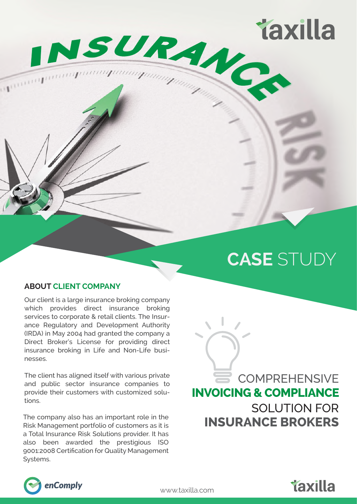

# **CASE** STUDY

**Taxilla** 

#### **ABOUT CLIENT COMPANY**

Our client is a large insurance broking company which provides direct insurance broking services to corporate & retail clients. The Insurance Regulatory and Development Authority (IRDA) in May 2004 had granted the company a Direct Broker's License for providing direct insurance broking in Life and Non-Life businesses.

The client has aligned itself with various private and public sector insurance companies to provide their customers with customized solutions.

The company also has an important role in the Risk Management portfolio of customers as it is a Total Insurance Risk Solutions provider. It has also been awarded the prestigious ISO 9001:2008 Certification for Quality Management Systems.

SOLUTION FOR **COMPREHENSIVE INSURANCE BROKERS INVOICING & COMPLIANCE**



www.taxilla.com

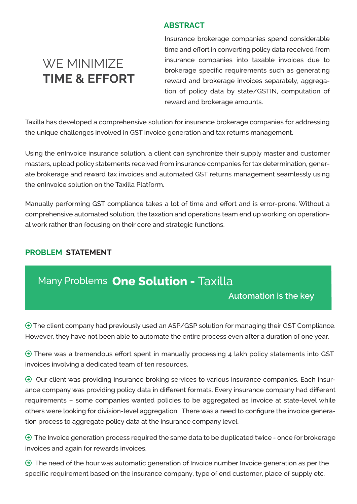## **ABSTRACT**

# **WE MINIMIZE TIME & EFFORT**

Insurance brokerage companies spend considerable time and effort in converting policy data received from insurance companies into taxable invoices due to brokerage specific requirements such as generating reward and brokerage invoices separately, aggregation of policy data by state/GSTIN, computation of reward and brokerage amounts.

Taxilla has developed a comprehensive solution for insurance brokerage companies for addressing the unique challenges involved in GST invoice generation and tax returns management.

Using the enInvoice insurance solution, a client can synchronize their supply master and customer masters, upload policy statements received from insurance companies for tax determination, generate brokerage and reward tax invoices and automated GST returns management seamlessly using the enInvoice solution on the Taxilla Platform.

Manually performing GST compliance takes a lot of time and effort and is error-prone. Without a comprehensive automated solution, the taxation and operations team end up working on operational work rather than focusing on their core and strategic functions.

# **PROBLEM STATEMENT**

# Many Problems **One Solution -** Taxilla

# **Automation is the key**

 The client company had previously used an ASP/GSP solution for managing their GST Compliance. However, they have not been able to automate the entire process even after a duration of one year.

 $\Theta$  There was a tremendous effort spent in manually processing 4 lakh policy statements into GST invoices involving a dedicated team of ten resources.

 $\Theta$  Our client was providing insurance broking services to various insurance companies. Each insurance company was providing policy data in different formats. Every insurance company had different requirements – some companies wanted policies to be aggregated as invoice at state-level while others were looking for division-level aggregation. There was a need to configure the invoice generation process to aggregate policy data at the insurance company level.

 $\Theta$  The Invoice generation process required the same data to be duplicated twice - once for brokerage invoices and again for rewards invoices.

 $\Theta$  The need of the hour was automatic generation of Invoice number Invoice generation as per the specific requirement based on the insurance company, type of end customer, place of supply etc.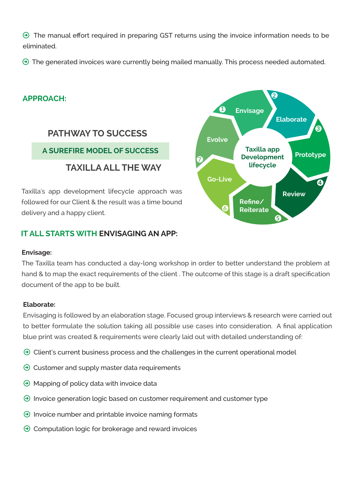$\Theta$  The manual effort required in preparing GST returns using the invoice information needs to be eliminated.

 $\Theta$  The generated invoices ware currently being mailed manually. This process needed automated.

## **APPROACH:**

# **PATHWAY TO SUCCESS**

# **TAXILLA ALL THE WAY**

Taxilla's app development lifecycle approach was followed for our Client & the result was a time bound delivery and a happy client.



#### **A SUREFIRE MODEL OF SUCCESS Taxilla app Development lifecycle Elaborate Prototype Review Go-Live Evolve Envisage Refine/ Reiterate 1 2** <u>ଜ</u> **4 5 6 7**

#### **Envisage:**

The Taxilla team has conducted a day-long workshop in order to better understand the problem at hand & to map the exact requirements of the client. The outcome of this stage is a draft specification document of the app to be built.

#### **Elaborate:**

Envisaging is followed by an elaboration stage. Focused group interviews & research were carried out to better formulate the solution taking all possible use cases into consideration. A final application blue print was created & requirements were clearly laid out with detailed understanding of:

- $\Theta$  Client's current business process and the challenges in the current operational model
- $\Theta$  Customer and supply master data requirements
- $\Theta$  Mapping of policy data with invoice data
- $\Theta$  Invoice generation logic based on customer requirement and customer type
- $\Theta$  Invoice number and printable invoice naming formats
- $\Theta$  Computation logic for brokerage and reward invoices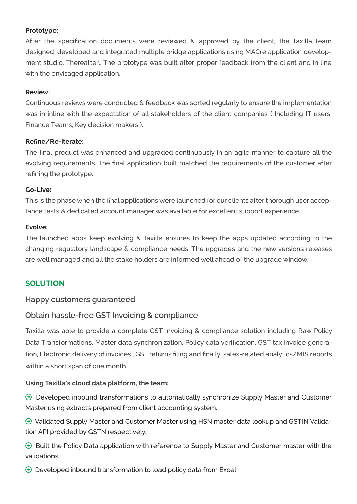#### **Prototype:**

After the specification documents were reviewed & approved by the client, the Taxilla team designed, developed and integrated multiple bridge applications using MACre application development studio. Thereafter,. The prototype was built after proper feedback from the client and in line with the envisaged application.

#### **Review:**

Continuous reviews were conducted & feedback was sorted regularly to ensure the implementation was in inline with the expectation of all stakeholders of the client companies ( Including IT users, Finance Teams, Key decision makers ).

#### **Refine/Re-iterate:**

The final product was enhanced and upgraded continuously in an agile manner to capture all the evolving requirements. The final application built matched the requirements of the customer after refining the prototype.

#### **Go-Live:**

This is the phase when the final applications were launched for our clients after thorough user acceptance tests & dedicated account manager was available for excellent support experience.

#### **Evolve:**

The launched apps keep evolving & Taxilla ensures to keep the apps updated according to the changing regulatory landscape & compliance needs. The upgrades and the new versions releases are well managed and all the stake holders are informed well ahead of the upgrade window.

### **SOLUTION**

#### **Happy customers guaranteed**

### **Obtain hassle-free GST Invoicing & compliance**

Taxilla was able to provide a complete GST Invoicing & compliance solution including Raw Policy Data Transformations, Master data synchronization, Policy data verification, GST tax invoice generation, Electronic delivery of invoices , GST returns filing and finally, sales-related analytics/MIS reports within a short span of one month.

#### **Using Taxilla's cloud data platform, the team:**

 $\Theta$  Developed inbound transformations to automatically synchronize Supply Master and Customer Master using extracts prepared from client accounting system.

 Validated Supply Master and Customer Master using HSN master data lookup and GSTIN Validation API provided by GSTN respectively.

 $\Theta$  Built the Policy Data application with reference to Supply Master and Customer master with the validations.

 $\Theta$  Developed inbound transformation to load policy data from Excel